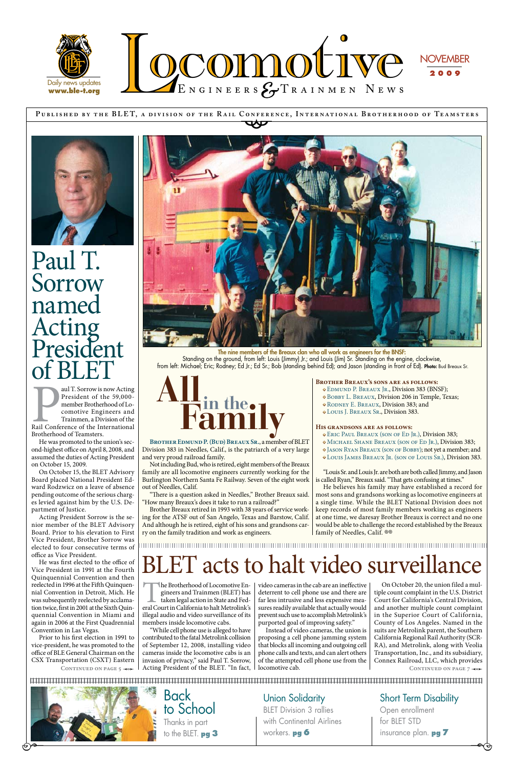**P ublished by the BLE T, a div ision of the R a il Conference, Internationa l Brotherhood of Te a msters** CONFERE





Union Solidarity BLET Division 3 rallies with Continental Airlines workers. **pg 6** 

**Back** to School Thanks in part to the BLET. **pg 3** 

Short Term Disability Open enrollment for BLET STD insurance plan. **pg 7** 

 $\overline{\phantom{a}}$ 

aul T. Sorrow is now Acting<br>President of the 59,000-<br>member Brotherhood of Locomotive Engineers and<br>Trainmen, a Division of the<br>Rail Conference of the International<br>Brotherhood of Teamsters aul T. Sorrow is now Acting President of the 59,000 member Brotherhood of Locomotive Engineers and Trainmen, a Division of the Brotherhood of Teamsters.

The nine members of the Breaux clan who all work as engineers for the BNSF: Standing on the ground, from left: Louis (Jimmy) Jr.; and Louis (Jim) Sr. Standing on the engine, clockwise, from left: Michael; Eric; Rodney; Ed Jr.; Ed Sr.; Bob (standing behind Ed); and Jason (standing in front of Ed). Photo: Bud Breaux Sr.

Paul T. Sorrow named Acting President of BLET

He was first elected to the office of Vice President in 1991 at the Fourth Quinquennial Convention and then reelected in 1996 at the Fifth Quinquennial Convention in Detroit, Mich. He was subsequently reelected by acclamation twice, first in 2001 at the Sixth Quinquennial Convention in Miami and again in 2006 at the First Quadrennial Convention in Las Vegas. Prior to his first election in 1991 to vice-president, he was promoted to the office of BLE General Chairman on the CSX Transportation (CSXT) Eastern CONTINUED ON PAGE 5  $\rightarrow$ 



He was promoted to the union's second-highest office on April 8, 2008, and assumed the duties of Acting President on October 15, 2009.

On October 15, the BLET Advisory Board placed National President Edward Rodzwicz on a leave of absence pending outcome of the serious charges levied against him by the U.S. Department of Justice.

Acting President Sorrow is the senior member of the BLET Advisory Board. Prior to his elevation to First Vice President, Brother Sorrow was elected to four consecutive terms of office as Vice President.

He believes his family may have established a record for most sons and grandsons working as locomotive engineers at a single time. While the BLET National Division does not keep records of most family members working as engineers at one time, we daresay Brother Breaux is correct and no one would be able to challenge the record established by the Breaux family of Needles, Calif. ®®

The Brotherhood of Locomotive Engineers and Trainmen (BLET) has taken legal action in State and Federal Court in California to halt Metrolink's gineers and Trainmen (BLET) has taken legal action in State and Fedillegal audio and video surveillance of its members inside locomotive cabs.

**Brother Edmund P. (Bud) Breaux Sr.**, a member of BLET Division 383 in Needles, Calif., is the patriarch of a very large and very proud railroad family.

Not including Bud, who is retired, eight members of the Breaux family are all locomotive engineers currently working for the Burlington Northern Santa Fe Railway. Seven of the eight work out of Needles, Calif.

> On October 20, the union filed a multiple count complaint in the U.S. District Court for California's Central Division, and another multiple count complaint in the Superior Court of California, County of Los Angeles. Named in the suits are Metrolink parent, the Southern California Regional Rail Authority (SCR-RA), and Metrolink, along with Veolia Transportation, Inc., and its subsidiary, Connex Railroad, LLC, which provides CONTINUED ON PAGE 7  $\rightarrow$



 $\Theta^{\bullet-}$ 

"There is a question asked in Needles," Brother Breaux said. "How many Breaux's does it take to run a railroad?"

Brother Breaux retired in 1993 with 38 years of service working for the ATSF out of San Angelo, Texas and Barstow, Calif. And although he is retired, eight of his sons and grandsons carry on the family tradition and work as engineers.

**Brother Breaux's sons are as follows:** 

- Edmund P. Breaux Jr., Division 383 (BNSF);
- Bobby L. Breaux, Division 206 in Temple, Texas;
- Rodney E. Breaux, Division 383; and
- Louis J. Breaux Sr., Division 383.

#### **His grandsons are as follows:**

- Eric Paul Breaux (son of Ed Jr.), Division 383;
- Michael Shane Breaux (son of Ed Jr.), Division 383;
- Jason Ryan Breaux (son of Bobby); not yet a member; and
- Louis James Breaux Jr. (son of Louis Sr.), Division 383.

"Louis Sr. and Louis Jr. are both are both called Jimmy, and Jason is called Ryan," Breaux said. "That gets confusing at times."



"While cell phone use is alleged to have contributed to the fatal Metrolink collision of September 12, 2008, installing video cameras inside the locomotive cabs is an invasion of privacy," said Paul T. Sorrow, Acting President of the BLET. "In fact, video cameras in the cab are an ineffective deterrent to cell phone use and there are far less intrusive and less expensive measures readily available that actually would prevent such use to accomplish Metrolink's purported goal of improving safety."

Instead of video cameras, the union is proposing a cell phone jamming system that blocks all incoming and outgoing cell phone calls and texts, and can alert others of the attempted cell phone use from the locomotive cab.

### BLET acts to halt video surveillance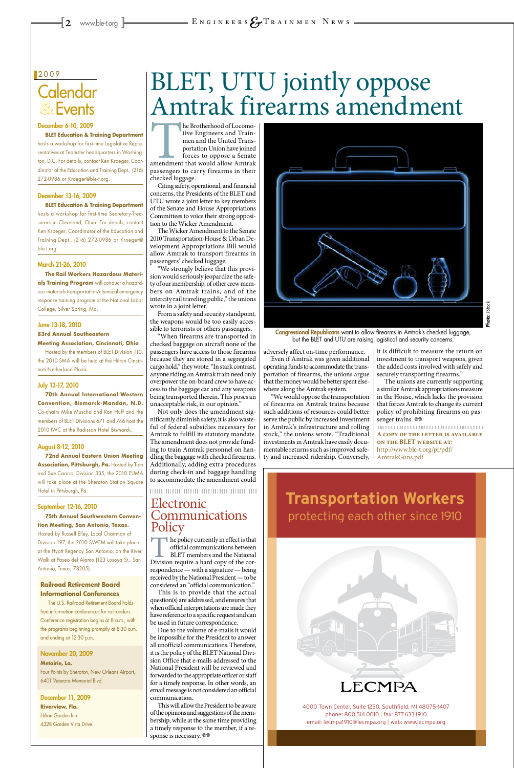### **Calendar Events &**

#### 2009

#### December 6-10, 2009

**BLET Education & Training Department**

hosts a workshop for first-time Legislative Representatives at Teamster headquarters in Washington, D.C. For details, contact Ken Kroeger, Coordinator of the Education and Training Dept., (216) 272-0986 or Kroeger@ble-t.org.

#### December 13-16, 2009

**BLET Education & Training Department** hosts a workshop for first-time Secretary-Treasurers in Cleveland, Ohio. For details, contact Ken Kroeger, Coordinator of the Education and Training Dept., (216) 272-0986 or Kroeger@ ble-t.org.

#### March 21-26, 2010

**The Rail Workers Hazardous Materials Training Program** will conduct a hazardous materials transportation/chemical emergency response training program at the National Labor College, Silver Spring, Md.

#### June 13-18, 2010

#### **83rd Annual Southeastern Meeting Association, Cincinnati, Ohio**

Hosted by the members of BLET Division 110, the 2010 SMA will be held at the Hilton Cincinnati Netherland Plaza.

### July 13-17, 2010

The Brotherhood of Locomo-<br>
tive Engineers and Train-<br>
men and the United Trans-<br>
portation Union have joined<br>
forces to oppose a Senate<br>
amendment that would allow Amtrak<br>
passengers to carry firearms in their tive Engineers and Trainmen and the United Transportation Union have joined forces to oppose a Senate passengers to carry firearms in their checked luggage.

**70th Annual International Western Convention, Bismarck-Mandan, N.D.** Co-chairs Mike Muscha and Ron Huff and the members of BLET Divisions 671 and 746 host the 2010 IWC at the Radisson Hotel Bismarck.

### August 8-12, 2010

**72nd Annual Eastern Union Meeting Association, Pittsburgh, Pa.** Hosted by Tom and Sue Caruso, Division 335, the 2010 EUMA will take place at the Sheraton Station Square Hotel in Pittsburgh, Pa.

### September 12-16, 2010

**75th Annual Southwestern Convention Meeting, San Antonio, Texas.** Hosted by Russell Elley, Local Chairman of Division 197, the 2010 SWCM will take place at the Hyatt Regency San Antonio, on the River Walk at Paseo del Alamo (123 Losoya St., San

Antonio, Texas, 78205).

#### **Railroad Retirement Board Informational Conferences**

The U.S. Railroad Retirement Board holds free information conferences for railroaders. Conference registration begins at 8 a.m., with the programs beginning promptly at 8:30 a.m. and ending at 12:30 p.m.

November 20, 2009 **Metairie, La.** Four Points by Sheraton, New Orleans Airport, 6401 Veterans Memorial Blvd.

December 11, 2009 **Riverview, Fla.** Hilton Garden Inn 4328 Garden Vista Drive.



4000 Town Center, Suite 1250, Southfield, MI 48075-1407 phone: 800.514.0010 | fax: 877.633.1910 email: lecmpa1910@lecmpa.org | web: www.lecmpa.org

The unions are currently supporting a similar Amtrak appropriations measure in the House, which lacks the provision that forces Amtrak to change its current policy of prohibiting firearms on passenger trains.  $\circledcirc$ 

Citing safety, operational, and financial concerns, the Presidents of the BLET and UTU wrote a joint letter to key members of the Senate and House Appropriations Committees to voice their strong opposition to the Wicker Amendment.

The Wicker Amendment to the Senate 2010 Transportation-House & Urban Development Appropriations Bill would allow Amtrak to transport firearms in passengers' checked luggage.

### Electronic Communications **Policy**

The policy currently in effect is that<br>
official communications between<br>
BLET members and the National<br>
Division require a hard copy of the corofficial communications between BLET members and the National respondence — with a signature — being received by the National President — to be considered an "official communication." This is to provide that the actual question(s) are addressed, and ensures that when official interpretations are made they have reference to a specific request and can be used in future correspondence. Due to the volume of e-mails it would be impossible for the President to answer all unofficial communications. Therefore, it is the policy of the BLET National Division Office that e-mails addressed to the National President will be reviewed and forwarded to the appropriate officer or staff for a timely response. In other words, an email message is not considered an official communication. This will allow the President to be aware of the opinions and suggestions of the membership, while at the same time providing a timely response to the member, if a response is necessary.  $\circledast$ 



"We strongly believe that this provision would seriously jeopardize the safety of our membership, of other crew members on Amtrak trains, and of the intercity rail traveling public," the unions wrote in a joint letter.

Congressional Republicans want to allow firearms in Amtrak's checked luggage, but the BLET and UTU are raising logistical and security concerns.

From a safety and security standpoint, the weapons would be too easily accessible to terrorists or others passengers.

"When firearms are transported in checked baggage on aircraft none of the passengers have access to those firearms because they are stored in a segregated cargo hold," they wrote. "In stark contrast, anyone riding an Amtrak train need only overpower the on-board crew to have access to the baggage car and any weapons being transported therein. This poses an unacceptable risk, in our opinion."

Not only does the amendment significantly diminish safety, it is also wasteful of federal subsidies necessary for Amtrak to fulfill its statutory mandate. The amendment does not provide funding to train Amtrak personnel on handling the baggage with checked firearms. Additionally, adding extra procedures during check-in and baggage handling to accommodate the amendment could

adversely affect on-time performance.

Even if Amtrak was given additional operating funds to accommodate the transportation of firearms, the unions argue that the money would be better spent elsewhere along the Amtrak system.

"We would oppose the transportation of firearms on Amtrak trains because such additions of resources could better serve the public by increased investment in Amtrak's infrastructure and rolling stock," the unions wrote. "Traditional investments in Amtrak have easily documentable returns such as improved safety and increased ridership. Conversely, it is difficult to measure the return on investment to transport weapons, given the added costs involved with safely and securely transporting firearms."

**A copy of the letter is available on the BLET website at:** http://www.ble-t.org/pr/pdf/ AmtrakGuns.pdf

**Transportation Workers** protecting each other since 1910

### BLET, UTU jointly oppose Amtrak firearms amendment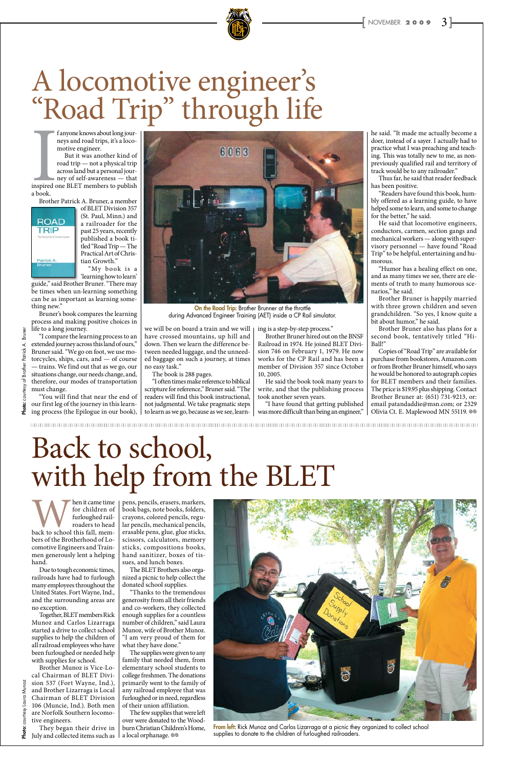

f anyone knows about long journeys and road trips, it's a locomotive engineer.

Inspired compared to a book. But it was another kind of road trip — not a physical trip across land but a personal journey of self-awareness — that inspired one BLET members to publish a book.

Brother Patrick A. Bruner, a member



of BLET Division 357 (St. Paul, Minn.) and a railroader for the past 25 years, recently published a book titled "Road Trip — The Practical Art of Christian Growth."

"My book is a 'learning how to learn'

guide," said Brother Bruner. "There may be times when un-learning something can be as important as learning something new."

Bruner's book compares the learning process and making positive choices in life to a long journey.

"I compare the learning process to an extended journey across this land of ours," Bruner said. "We go on foot, we use motorcycles, ships, cars, and — of course — trains. We find out that as we go, our situations change, our needs change, and, therefore, our modes of transportation must change.

"You will find that near the end of our first leg of the journey in this learning process (the Epilogue in our book),

we will be on board a train and we will have crossed mountains, up hill and down. Then we learn the difference between needed luggage, and the unneeded baggage on such a journey, at times

no easy task." The book is 288 pages.

"I often times make reference to biblical scripture for reference," Bruner said. "The readers will find this book instructional, not judgmental. We take pragmatic steps to learn as we go, because as we see, learn-

Copies of "Road Trip" are available for purchase from bookstores, Amazon.com or from Brother Bruner himself, who says he would be honored to autograph copies for BLET members and their families. The price is \$19.95 plus shipping. Contact Brother Bruner at: (651) 731-9213, or: email patandaddie@msn.com; or 2329 Olivia Ct. E. Maplewood MN 55119. <sup>@</sup>

ing is a step-by-step process."

Brother Bruner hired out on the BNSF Railroad in 1974. He joined BLET Division 746 on February 1, 1979. He now works for the CP Rail and has been a member of Division 357 since October 10, 2005.



On the Road Trip: Brother Brunner at the throttle during Advanced Engineer Training (AET) inside a CP Rail simulator.

Man it came time<br>
for children of<br>
furloughed rail-<br>
roaders to head<br>
back to school this fall, memfor children of furloughed railroaders to head bers of the Brotherhood of Locomotive Engineers and Trainmen generously lent a helping hand.

He said the book took many years to write, and that the publishing process took another seven years.

"I have found that getting published was more difficult than being an engineer,"

Brother Munoz is Vice-Local Chairman of BLET Division 537 (Fort Wayne, Ind.), and Brother Lizarraga is Local Chairman of BLET Division 106 (Muncie, Ind.). Both men courtesy are Norfolk Southern locomotive engineers. Photo:

Photo: courtesy Laura Munoz

Laura

Munoz

he said. "It made me actually become a doer, instead of a sayer. I actually had to practice what I was preaching and teaching. This was totally new to me, as nonpreviously qualified rail and territory of track would be to any railroader."

Thus far, he said that reader feedback has been positive.

"Readers have found this book, humbly offered as a learning guide, to have helped some to learn, and some to change for the better," he said.

He said that locomotive engineers, conductors, carmen, section gangs and mechanical workers — along with supervisory personnel — have found "Road Trip" to be helpful, entertaining and humorous.

The few supplies that were left over were donated to the Woodburn Christian Children's Home, a local orphanage.  $\circledcirc$ 

"Humor has a healing effect on one, and as many times we see, there are elements of truth to many humorous scenarios," he said.

From left: Rick Munoz and Carlos Lizarraga at a picnic they organized to collect school supplies to donate to the children of furloughed railroaders.

Brother Bruner is happily married with three grown children and seven grandchildren. "So yes, I know quite a bit about humor," he said.

Brother Bruner also has plans for a second book, tentatively titled "Hi-Ball!"

# A locomotive engineer's "Road Trip" through life

Due to tough economic times, railroads have had to furlough many employees throughout the United States. Fort Wayne, Ind., and the surrounding areas are no exception.

Together, BLET members Rick Munoz and Carlos Lizarraga started a drive to collect school supplies to help the children of all railroad employees who have been furloughed or needed help with supplies for school.

They began their drive in July and collected items such as

pens, pencils, erasers, markers, book bags, note books, folders, crayons, colored pencils, regular pencils, mechanical pencils, erasable pens, glue, glue sticks, scissors, calculators, memory sticks, compositions books, hand sanitizer, boxes of tissues, and lunch boxes.



The BLET Brothers also organized a picnic to help collect the donated school supplies.

"Thanks to the tremendous generosity from all their friends and co-workers, they collected enough supplies for a countless number of children," said Laura Munoz, wife of Brother Munoz. "I am very proud of them for what they have done."

The supplies were given to any family that needed them, from elementary school students to college freshmen. The donations primarily went to the family of any railroad employee that was furloughed or in need, regardless of their union affiliation.

# Back to school, with help from the BLET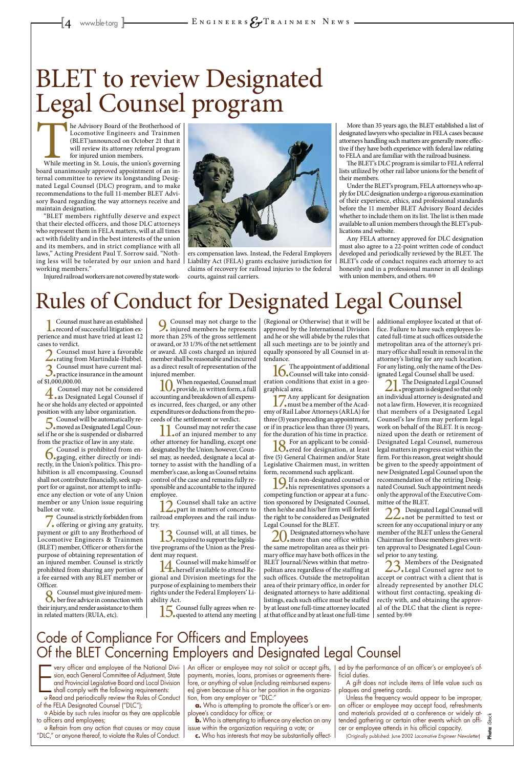The Advisory Board of the Brotherhood of<br>
Locomotive Engineers and Trainmen<br>
(BLET) announced on October 21 that it<br>
will review its attorney referral program<br>
for injured union members.<br>
While meeting in St. Louis, the un Locomotive Engineers and Trainmen (BLET)announced on October 21 that it will review its attorney referral program for injured union members.

board unanimously approved appointment of an internal committee to review its longstanding Designated Legal Counsel (DLC) program, and to make recommendations to the full 11-member BLET Advisory Board regarding the way attorneys receive and maintain designation.

"BLET members rightfully deserve and expect that their elected officers, and those DLC attorneys who represent them in FELA matters, will at all times act with fidelity and in the best interests of the union and its members, and in strict compliance with all laws," Acting President Paul T. Sorrow said. "Nothing less will be tolerated by our union and hard working members."

Injured railroad workers are not covered by state work-

Any FELA attorney approved for DLC designation must also agree to a 22-point written code of conduct developed and periodically reviewed by the BLET. The BLET's code of conduct requires each attorney to act honestly and in a professional manner in all dealings with union members, and others.  $\otimes$ 



ers compensation laws. Instead, the Federal Employers Liability Act (FELA) grants exclusive jurisdiction for claims of recovery for railroad injuries to the federal courts, against rail carriers.

1. Counsel must have an established<br>specord of successful litigation experience and must have tried at least 12 cases to verdict.

2. Counsel must have a favorable<br>
rating from Martindale-Hubbel.<br>
Counsel worth the measure well

More than 35 years ago, the BLET established a list of designated lawyers who specialize in FELA cases because attorneys handling such matters are generally more effective if they have both experience with federal law relating to FELA and are familiar with the railroad business.

The BLET's DLC program is similar to FELA referral lists utilized by other rail labor unions for the benefit of their members.

Under the BLET's program, FELA attorneys who apply for DLC designation undergo a rigorous examination of their experience, ethics, and professional standards before the 11 member BLET Advisory Board decides whether to include them on its list. The list is then made available to all union members through the BLET's publications and website.

7. Counsel is strictly forbidden from<br>
offering or giving any gratuity, payment or gift to any Brotherhood of Locomotive Engineers & Trainmen (BLET) member, Officer or others for the purpose of obtaining representation of an injured member. Counsel is strictly prohibited from sharing any portion of a fee earned with any BLET member or Officer. 8. Counsel must give injured mem-ber free advice in connection with their injury, and render assistance to them in related matters (RUIA, etc).

10. When requested, Counsel must<br>provide, in written form, a full<br>provides and knowledge of all manage accounting and breakdown of all expenses incurred, fees charged, or any other expenditures or deductions from the proceeds of the settlement or verdict.

11. Counsel may not refer the case<br>of an injured member to any other attorney for handling, except one designated by the Union; however, Counsel may, as needed, designate a local attorney to assist with the handling of a member's case, as long as Counsel retains control of the case and remains fully responsible and accountable to the injured employee.

12. Counsel shall take an active<br>land analyzes on the million railroad employees and the rail industry.

 $\frac{13}{2}$ . Counsel will, at all times, be required to support the legislative programs of the Union as the Presi-

dent may request.<br>**1**  $\Lambda$  Counsel will make himself or 14.Counsel will make himself or herself available to attend Regional and Division meetings for the purpose of explaining to members their rights under the Federal Employers' Liability Act.

3.Counsel must have current mal-practice insurance in the amount

of \$1,000,000.00.

4.Counsel may not be considered as Designated Legal Counsel if he or she holds any elected or appointed position with any labor organization.

16. The appointment of additional policy counsel will take into consideration conditions that exist in a geographical area.

5.Counsel will be automatically re-moved as Designated Legal Counsel if he or she is suspended or disbarred from the practice of law in any state.

 $\frac{1}{2}$  Any applicant for designation<br>must be a member of the Academy of Rail Labor Attorneys (ARLA) for three (3) years preceding an appointment, or if in practice less than three (3) years, for the duration of his time in practice.

18. For an applicant to be considered for designation, at least five (5) General Chairmen and/or State Legislative Chairmen must, in written form, recommend such applicant.

6.Counsel is prohibited from en-gaging, either directly or indirectly, in the Union's politics. This prohibition is all encompassing. Counsel shall not contribute financially, seek support for or against, nor attempt to influence any election or vote of any Union member or any Union issue requiring ballot or vote.

> $20$ . Designated attorneys who have  $\ldots$ the same metropolitan area as their primary office may have both offices in the BLET Journal/News within that metropolitan area regardless of the staffing at such offices. Outside the metropolitan area of their primary office, in order for designated attorneys to have additional listings, each such office must be staffed by at least one full-time attorney located at that office and by at least one full-time

9. Counsel may not charge to the injured members he represents more than 25% of the gross settlement or award, or 33 1/3% of the net settlement or award. All costs charged an injured member shall be reasonable and incurred as a direct result of representation of the injured member.

> 22. Designated Legal Counsel will<br>not be permitted to test or screen for any occupational injury or any member of the BLET unless the General Chairman for those members gives written approval to Designated Legal Counsel prior to any testing.

> $23$ . Members of the Designated  $\ldots$ accept or contract with a client that is already represented by another DLC without first contacting, speaking directly with, and obtaining the approval of the DLC that the client is represented by.<sup>®®</sup>

very officer and employee of the National Division, each General Committee of Adjustment, State<br>and Provincial Legislative Board and Local Division<br>shall comply with the following requirements:<br>o Read and periodically revi very officer and employee of the National Division, each General Committee of Adjustment, State and Provincial Legislative Board and Local Division shall comply with the following requirements: of the FELA Designated Counsel ("DLC");

> **b.** Who is attempting to influence any election on any issue within the organization requiring a vote; or **c.** Who has interests that may be substantially affect-

15.Counsel fully agrees when re-quested to attend any meeting

(Regional or Otherwise) that it will be approved by the International Division and he or she will abide by the rules that all such meetings are to be jointly and equally sponsored by all Counsel in attendance.

19.If a non-designated counsel or his representatives sponsors a competing function or appear at a function sponsored by Designated Counsel, then he/she and his/her firm will forfeit the right to be considered as Designated Legal Counsel for the BLET.

additional employee located at that office. Failure to have such employees located full-time at such offices outside the metropolitan area of the attorney's primary office shall result in removal in the attorney's listing for any such location. For any listing, only the name of the Designated Legal Counsel shall be used.

21.The Designated Legal Counsel program is designed so that only an individual attorney is designated and not a law firm. However, it is recognized that members of a Designated Legal Counsel's law firm may perform legal work on behalf of the BLET. It is recognized upon the death or retirement of Designated Legal Counsel, numerous legal matters in progress exist within the firm. For this reason, great weight should be given to the speedy appointment of new Designated Legal Counsel upon the recommendation of the retiring Designated Counsel. Such appointment needs only the approval of the Executive Committee of the BLET.

### Rules of Conduct for Designated Legal Counsel

### BLET to review Designated Legal Counsel program

• Abide by such rules insofar as they are applicable to officers and employees;

• Refrain from any action that causes or may cause "DLC," or anyone thereof, to violate the Rules of Conduct. An officer or employee may not solicit or accept gifts, payments, monies, loans, promises or agreements therefore, or anything of value (including reimbursed expenses) given because of his or her position in the organization, from any employer or "DLC:"

**a.** Who is attempting to promote the officer's or employee's candidacy for office; or

ed by the performance of an officer's or employee's official duties.

A gift does not include items of little value such as plaques and greeting cards.

Unless the frequency would appear to be improper, an officer or employee may accept food, refreshments and materials provided at a conference or widely attended gathering or certain other events which an officer or employee attends in his official capacity.

(Originally published: June 2002 *Locomotive Engineer Newsletter*)

### Code of Compliance For Officers and Employees Of the BLET Concerning Employers and Designated Legal Counsel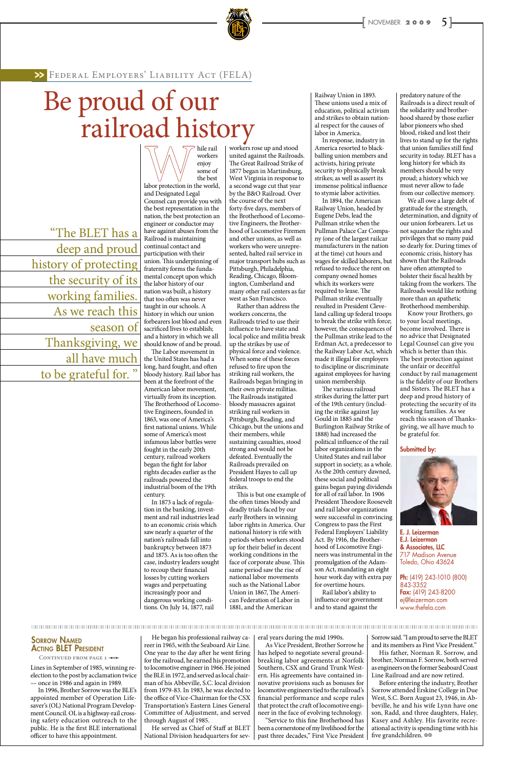

Lines in September of 1985, winning reelection to the post by acclamation twice — once in 1986 and again in 1989.

In 1996, Brother Sorrow was the BLE's appointed member of Operation Lifesaver's (OL) National Program Development Council. OL is a highway-rail crossing safety education outreach to the public. He is the first BLE international officer to have this appointment.

He began his professional railway career in 1965, with the Seaboard Air Line. One year to the day after he went firing for the railroad, he earned his promotion to locomotive engineer in 1966. He joined the BLE in 1972, and served as local chairman of his Abbeville, S.C. local division from 1979-83. In 1983, he was elected to the office of Vice-Chairman for the CSX Transportation's Eastern Lines General Committee of Adjustment, and served through August of 1985.

Before entering the industry, Brother Sorrow attended Erskine College in Due West, S.C. Born August 23, 1946, in Abbeville, he and his wife Lynn have one son, Radd, and three daughters, Haley, Kasey and Ashley. His favorite recreational activity is spending time with his five grandchildren.  $\otimes$ 

He served as Chief of Staff at BLET National Division headquarters for several years during the mid 1990s.

As Vice President, Brother Sorrow he has helped to negotiate several groundbreaking labor agreements at Norfolk Southern, CSX and Grand Trunk Western. His agreements have contained innovative provisions such as bonuses for locomotive engineers tied to the railroad's financial performance and scope rules that protect the craft of locomotive engineer in the face of evolving technology. "Service to this fine Brotherhood has

been a cornerstone of my livelihood for the past three decades," First Vice President

Sorrow said. "I am proud to serve the BLET and its members as First Vice President." His father, Norman R. Sorrow, and brother, Norman F. Sorrow, both served as engineers on the former Seaboard Coast Line Railroad and are now retired.

hile rail workers enjoy

some of the best labor protection in the world, and Designated Legal Counsel can provide you with the best representation in the nation, the best protection an engineer or conductor may have against abuses from the Railroad is maintaining continual contact and participation with their union. This underpinning of fraternity forms the fundamental concept upon which the labor history of our nation was built, a history that too often was never taught in our schools. A history in which our union forbearers lost blood and even sacrificed lives to establish; and a history in which we all should know of and be proud.

The Labor movement in

the United States has had a long, hard fought, and often bloody history. Rail labor has been at the forefront of the American labor movement, virtually from its inception. The Brotherhood of Locomotive Engineers, founded in 1863, was one of America's first national unions. While some of America's most infamous labor battles were fought in the early 20th century, railroad workers began the fight for labor rights decades earlier as the railroads powered the industrial boom of the 19th century.

In 1873 a lack of regulation in the banking, investment and rail industries lead to an economic crisis which saw nearly a quarter of the nation's railroads fall into bankruptcy between 1873 and 1875. As is too often the case, industry leaders sought to recoup their financial losses by cutting workers wages and perpetuating increasingly poor and dangerous working conditions. On July 14, 1877, rail

workers rose up and stood united against the Railroads. The Great Railroad Strike of 1877 began in Martinsburg, West Virginia in response to a second wage cut that year by the B&O Railroad. Over the course of the next forty-five days, members of the Brotherhood of Locomotive Engineers, the Brotherhood of Locomotive Firemen and other unions, as well as workers who were unrepresented, halted rail service in major transport hubs such as Pittsburgh, Philadelphia, Reading, Chicago, Bloomington, Cumberland and many other rail centers as far west as San Francisco.

> Ph: (419) 243-1010 (800) 843-3352 Fax: (419) 243-8200 ej@leizerman.com www.thefela.com

### **SORROW NAMED ACTING BLET PRESIDENT**

CONTINUED FROM PAGE 1-0-

Rather than address the workers concerns, the Railroads tried to use their influence to have state and local police and militia break up the strikes by use of physical force and violence. When some of these forces refused to fire upon the striking rail workers, the Railroads began bringing in their own private militias. The Railroads instigated bloody massacres against striking rail workers in Pittsburgh, Reading, and Chicago, but the unions and their members, while sustaining casualties, stood strong and would not be defeated. Eventually the Railroads prevailed on President Hayes to call up federal troops to end the strikes.

This is but one example of the often times bloody and deadly trials faced by our early Brothers in winning labor rights in America. Our national history is rife with periods when workers stood up for their belief in decent working conditions in the face of corporate abuse. This same period saw the rise of national labor movements such as the National Labor Union in 1867, The American Federation of Labor in 1881, and the American

Railway Union in 1893. These unions used a mix of education, political activism and strikes to obtain national respect for the causes of labor in America.

In response, industry in America resorted to blackballing union members and activists, hiring private security to physically break strikes; as well as assert its immense political influence to stymie labor activities.

In 1894, the American Railway Union, headed by Eugene Debs, lead the Pullman strike when the Pullman Palace Car Company (one of the largest railcar manufacturers in the nation at the time) cut hours and wages for skilled laborers, but refused to reduce the rent on company owned homes which its workers were required to lease. The Pullman strike eventually resulted in President Cleveland calling up federal troops to break the strike with force; however, the consequences of the Pullman strike lead to the Erdman Act, a predecessor to the Railway Labor Act, which made it illegal for employers to discipline or discriminate against employees for having union membership.

The various railroad strikes during the latter part of the 19th century (including the strike against Jay Gould in 1885 and the Burlington Railway Strike of 1888) had increased the political influence of the rail labor organizations in the United States and rail labor support in society, as a whole. As the 20th century dawned, these social and political gains began paying dividends for all of rail labor. In 1906 President Theodore Roosevelt and rail labor organizations were successful in convincing Congress to pass the First Federal Employers' Liability Act. By 1916, the Brotherhood of Locomotive Engineers was instrumental in the promulgation of the Adamson Act, mandating an eight hour work day with extra pay for overtime hours. Rail labor's ability to influence our government and to stand against the

predatory nature of the Railroads is a direct result of the solidarity and brotherhood shared by those earlier labor pioneers who shed blood, risked and lost their lives to stand up for the rights that union families still find security in today. BLET has a long history for which its members should be very proud; a history which we must never allow to fade from our collective memory.

We all owe a large debt of gratitude for the strength, determination, and dignity of our union forbearers. Let us not squander the rights and privileges that so many paid so dearly for. During times of economic crisis, history has shown that the Railroads have often attempted to bolster their fiscal health by taking from the workers. The Railroads would like nothing more than an apathetic Brotherhood membership.

Know your Brothers, go to your local meetings, become involved. There is no advice that Designated Legal Counsel can give you which is better than this. The best protection against the unfair or deceitful conduct by rail management is the fidelity of our Brothers and Sisters. The BLET has a deep and proud history of protecting the security of its working families. As we reach this season of Thanksgiving, we all have much to be grateful for.

Submitted by:



E. J. Leizerman E.J. Leizerman & Associates, LLC 717 Madison Avenue Toledo, Ohio 43624

Federal Employers' Liability Act (FELA) >>

## Be proud of our railroad history

"The BLET has a deep and proud history of protecting the security of its working families. As we reach this season of Thanksgiving, we all have much to be grateful for. "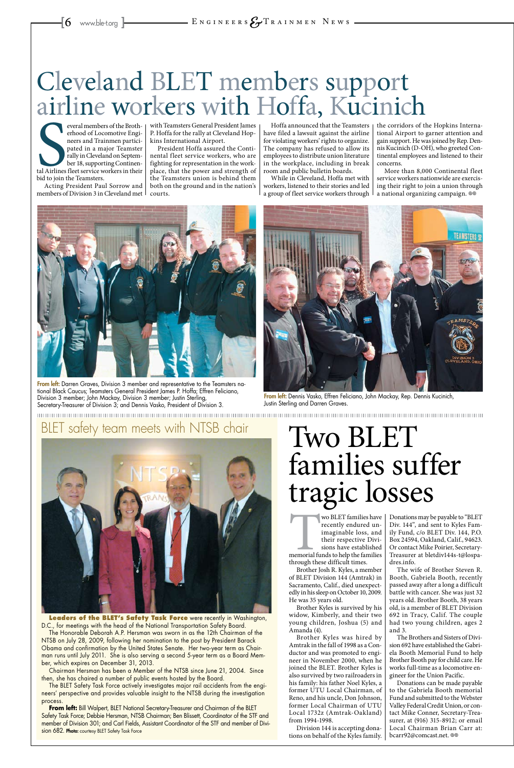**Sand Airlines**<br>bid to join t everal members of the Brotherhood of Locomotive Engineers and Trainmen participated in a major Teamster rally in Cleveland on September 18, supporting Continental Airlines fleet service workers in their bid to join the Teamsters.

Acting President Paul Sorrow and members of Division 3 in Cleveland met with Teamsters General President James P. Hoffa for the rally at Cleveland Hopkins International Airport.

President Hoffa assured the Continental fleet service workers, who are fighting for representation in the workplace, that the power and strength of the Teamsters union is behind them both on the ground and in the nation's courts.

More than 8,000 Continental fleet service workers nationwide are exercising their right to join a union through a national organizing campaign. ®

Hoffa announced that the Teamsters have filed a lawsuit against the airline for violating workers' rights to organize. The company has refused to allow its employees to distribute union literature in the workplace, including in break room and public bulletin boards.



From left: Darren Graves, Division 3 member and representative to the Teamsters national Black Caucus; Teamsters General President James P. Hoffa; Effren Feliciano, Division 3 member; John Mackay, Division 3 member; Justin Sterling, Secretary-Treasurer of Division 3; and Dennis Vasko, President of Division 3.



From left: Dennis Vasko, Effren Feliciano, John Mackay, Rep. Dennis Kucinich, Justin Sterling and Darren Graves.

While in Cleveland, Hoffa met with workers, listened to their stories and led a group of fleet service workers through

> WO BLET families have<br>
> recently endured un-<br>
> imaginable loss, and<br>
> their respective Divisions have established<br>
> memorial funds to help the families<br>
> through these difficult times recently endured unimaginable loss, and their respective Divisions have established through these difficult times.

the corridors of the Hopkins International Airport to garner attention and gain support. He was joined by Rep. Dennis Kucinich (D-OH), who greeted Continental employees and listened to their concerns.

### Cleveland BLET members support airline workers with Hoffa, Kucinich

Donations can be made payable to the Gabriela Booth memorial Fund and submitted to the Webster Valley Federal Credit Union, or contact Mike Conner, Secretary-Treasurer, at (916) 315-8912; or email Local Chairman Brian Carr at: bcarr92@comcast.net. @

Leaders of the **BLET's Safety Task Force** were recently in Washington, D.C., for meetings with the head of the National Transportation Safety Board.

Brother Josh R. Kyles, a member of BLET Division 144 (Amtrak) in Sacramento, Calif., died unexpectedly in his sleep on October 10, 2009. He was 35 years old.

Brother Kyles is survived by his widow, Kimberly, and their two young children, Joshua (5) and Amanda (4).

Brother Kyles was hired by Amtrak in the fall of 1998 as a Conductor and was promoted to engineer in November 2000, when he joined the BLET. Brother Kyles is also survived by two railroaders in his family: his father Noel Kyles, a former UTU Local Chairman, of Reno, and his uncle, Don Johnson, former Local Chairman of UTU Local 1732z (Amtrak-Oakland) from 1994-1998.

Division 144 is accepting donations on behalf of the Kyles family.

Donations may be payable to "BLET Div. 144", and sent to Kyles Family Fund, c/o BLET Div. 144, P.O. Box 24594, Oakland, Calif., 94623. Or contact Mike Poirier, Secretary-Treasurer at bletdiv144s-t@lospadres.info.

The wife of Brother Steven R. Booth, Gabriela Booth, recently passed away after a long a difficult battle with cancer. She was just 32 years old. Brother Booth, 38 years old, is a member of BLET Division 692 in Tracy, Calif. The couple had two young children, ages 2 and 3.

The Brothers and Sisters of Division 692 have established the Gabriela Booth Memorial Fund to help Brother Booth pay for child care. He works full-time as a locomotive engineer for the Union Pacific.

## Two BLET families suffer tragic losses

The Honorable Deborah A.P. Hersman was sworn in as the 12th Chairman of the NTSB on July 28, 2009, following her nomination to the post by President Barack Obama and confirmation by the United States Senate. Her two-year term as Chairman runs until July 2011. She is also serving a second 5-year term as a Board Member, which expires on December 31, 2013.

Chairman Hersman has been a Member of the NTSB since June 21, 2004. Since then, she has chaired a number of public events hosted by the Board.

The BLET Safety Task Force actively investigates major rail accidents from the engineers' perspective and provides valuable insight to the NTSB during the investigation process.

**From left:** Bill Walpert, BLET National Secretary-Treasurer and Chairman of the BLET Safety Task Force; Debbie Hersman, NTSB Chairman; Ben Blissett, Coordinator of the STF and member of Division 301; and Carl Fields, Assistant Coordinator of the STF and member of Division 682. Photo: courtesy BLET Safety Task Force

### BLET safety team meets with NTSB chair

![](_page_5_Picture_16.jpeg)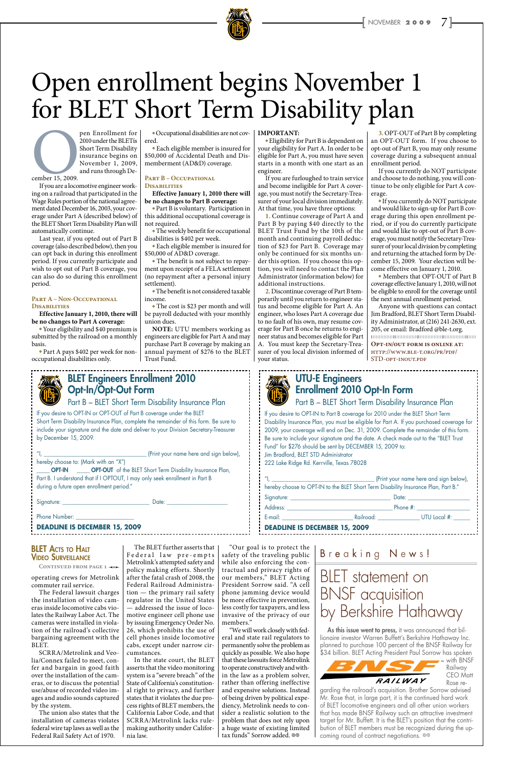![](_page_6_Picture_1.jpeg)

pen Enrollment for<br>
2010 under the BLET's<br>
Short Term Disability<br>
insurance begins on<br>
November 1, 2009,<br>
and runs through De-<br>
If you are a locomotive engineer work-2010 under the BLETís Short Term Disability insurance begins on November 1, 2009, and runs through December 15, 2009.

If you are a locomotive engineer working on a railroad that participated in the Wage Rules portion of the national agreement dated December 16, 2003, your coverage under Part A (described below) of the BLET Short Term Disability Plan will automatically continue.

Last year, if you opted out of Part B coverage (also described below), then you can opt back in during this enrollment period. If you currently participate and wish to opt out of Part B coverage, you can also do so during this enrollment period.

• The weekly benefit for occupational disabilities is \$402 per week.

#### **Part A – Non-Occupational Disabilities**

**Effective January 1, 2010, there will be no changes to Part A coverage:** 

• The benefit is not subject to repayment upon receipt of a FELA settlement (no repayment after a personal injury settlement).

 Your eligibility and \$40 premium is submitted by the railroad on a monthly basis.

• The cost is \$23 per month and will be payroll deducted with your monthly union dues.

 Part A pays \$402 per week for nonoccupational disabilities only.

 Occupational disabilities are not covered.

 Each eligible member is insured for \$50,000 of Accidental Death and Dismemberment (AD&D) coverage.

#### **Part B – Occupational**

**Disabilities Effective January 1, 2010 there will be no changes to Part B coverage:**

 Part B is voluntary. Participation in this additional occupational coverage is not required.

 Each eligible member is insured for \$50,000 of AD&D coverage.

 The benefit is not considered taxable income.

**NOTE:** UTU members working as engineers are eligible for Part A and may purchase Part B coverage by making an annual payment of \$276 to the BLET Trust Fund.

• If you currently do NOT participate and would like to sign-up for Part B coverage during this open enrollment period, or if you do currently participate and would like to opt-out of Part B coverage, you must notify the Secretary-Treasurer of your local division by completing and returning the attached form by December 15, 2009. Your election will become effective on January 1, 2010.

#### **IMPORTANT:**

Anyone with questions can contact Jim Bradford, BLET Short Term Disability Administrator, at (216) 241-2630, ext. 205, or email: Bradford @ble-t.org.  $\begin{minipage}{.4\linewidth} \begin{tabular}{l} \hline \textbf{m} & \textbf{m} & \textbf{m} & \textbf{m} \\ \textbf{m} & \textbf{m} & \textbf{m} & \textbf{m} \\ \textbf{m} & \textbf{m} & \textbf{m} & \textbf{m} \\ \textbf{m} & \textbf{m} & \textbf{m} & \textbf{m} \\ \textbf{m} & \textbf{m} & \textbf{m} & \textbf{m} \\ \textbf{m} & \textbf{m} & \textbf{m} & \textbf{m} \\ \textbf{m} & \textbf{m} & \textbf{m} & \textbf{m} \\ \$ 

 Eligibility for Part B is dependent on your eligibility for Part A. In order to be eligible for Part A, you must have seven starts in a month with one start as an engineer.

If you are furloughed to train service and become ineligible for Part A coverage, you must notify the Secretary-Treasurer of your local division immediately. At that time, you have three options:

**OPT-IN \_\_\_\_\_ OPT-OUT** of the BLET Short Term Disability Insurance Plan, Part B. I understand that if I OPTOUT, I may only seek enrollment in Part B during a future open enrollment period."

**1.** Continue coverage of Part A and Part B by paying \$40 directly to the BLET Trust Fund by the 10th of the month and continuing payroll deduction of \$23 for Part B. Coverage may only be continued for six months under this option. If you choose this option, you will need to contact the Plan Administrator (information below) for additional instructions.

The BLET further asserts that Federal law pre-empts safety of the traveling public Metrolink's attempted safety and  $\, \mid$  while <code>also</code> <code>enforcing</code> the <code>con-</code>

**2.** Discontinue coverage of Part B temporarily until you return to engineer status and become eligible for Part A. An engineer, who loses Part A coverage due to no fault of his own, may resume coverage for Part B once he returns to engineer status and becomes eligible for Part A. You must keep the Secretary-Treasurer of you local division informed of your status.

**3.** OPT-OUT of Part B by completing an OPT-OUT form. If you choose to opt-out of Part B, you may only resume coverage during a subsequent annual enrollment period.

If you currently do NOT participate and choose to do nothing, you will continue to be only eligible for Part A coverage.

"We will work closely with federal and state rail regulators to permanently solve the problem as quickly as possible. We also hope that these lawsuits force Metrolink to operate constructively and within the law as a problem solver, rather than offering ineffective and expensive solutions. Instead of being driven by political expediency, Metrolink needs to consider a realistic solution to the problem that does not rely upon a huge waste of existing limited tax funds" Sorrow added. @@

### **BLET ACTS TO HALT** Video Surveillance

 Members that OPT-OUT of Part B coverage effective January 1, 2010, will not be eligible to enroll for the coverage until the next annual enrollment period.

**Opt-in/out form is online at:**  http://www.ble-t.org/pr/pdf/ STD-opt-inout.pdf

![](_page_6_Picture_32.jpeg)

### Open enrollment begins November 1 for BLET Short Term Disability plan

BLET Engineers Enrollment 2010

Opt-In/Opt-Out Form

If Print your name here and sign below),

As this issue went to press, it was announced that billionaire investor Warren Buffett's Berkshire Hathaway Inc. planned to purchase 100 percent of the BNSF Railway for \$34 billion. BLET Acting President Paul Sorrow has spoken

garding the railroad's acquisition. Brother Sorrow advised Mr. Rose that, in large part, it is the continued hard work of BLET locomotive engineers and all other union workers that has made BNSF Railway such an attractive investment target for Mr. Buffett. It is the BLET's position that the contribution of BLET members must be recognized during the upcoming round of contract negotiations.  $\circledcirc$ 

If you desire to OPT-IN or OPT-OUT of Part B coverage under the BLET Short Term Disability Insurance Plan, complete the remainder of this form. Be sure to include your signature and the date and deliver to your Division Secretary-Treasurer by December 15, 2009.

Part B – BLET Short Term Disability Insurance Plan

hereby choose to: (Mark with an "X")

Signature: \_\_\_\_\_\_\_\_\_\_\_\_\_\_\_\_\_\_\_\_\_\_\_\_\_\_\_\_\_\_\_\_\_ Date: \_\_\_\_\_\_\_\_\_\_\_\_\_\_\_\_\_\_\_\_\_\_\_

Phone Number:

**DEADLINE IS DECEMBER 15, 2009**

operating crews for Metrolink commuter rail service.

The Federal lawsuit charges the installation of video cameras inside locomotive cabs violates the Railway Labor Act. The cameras were installed in violation of the railroad's collective bargaining agreement with the BLET.

SCRRA/Metrolink and Veolia/Connex failed to meet, confer and bargain in good faith over the installation of the cameras, or to discuss the potential use/abuse of recorded video images and audio sounds captured by the system.

The union also states that the installation of cameras violates federal wire tap laws as well as the Federal Rail Safety Act of 1970.

policy making efforts. Shortly after the fatal crash of 2008, the Federal Railroad Administration — the primary rail safety regulator in the United States — addressed the issue of locomotive engineer cell phone use by issuing Emergency Order No. 26, which prohibits the use of cell phones inside locomotive cabs, except under narrow circumstances.

In the state court, the BLET asserts that the video monitoring system is a "severe breach" of the State of California's constitutional right to privacy, and further states that it violates the due process rights of BLET members, the California Labor Code, and that SCRRA/Metrolink lacks rulemaking authority under California law.

"Our goal is to protect the

tractual and privacy rights of our members," BLET Acting President Sorrow said. "A cell phone jamming device would be more effective in prevention, less costly for taxpayers, and less invasive of the privacy of our members."

### UTU-E Engineers Enrollment 2010 Opt-In Form

If you desire to OPT-IN to Part B coverage for 2010 under the BLET Short Term

Part B - BLET Short Term Disability Insurance Plan

Jim Bradford, BLET STD Administrator

222 Lake Ridge Rd. Kerrville, Texas 78028

| hereby choose to OPT-IN to the BLET Short Term Disability Insurance Plan, Part B."                                                                                                                                             |                                 |
|--------------------------------------------------------------------------------------------------------------------------------------------------------------------------------------------------------------------------------|---------------------------------|
|                                                                                                                                                                                                                                | Date: _________________________ |
| Address: Andreas Address Address and Address Address Address Address Address Address Address Address Address A                                                                                                                 |                                 |
| E-mail: E-mail: All and All and All and All and All and All and All and All and All and All and All and All and All and All and All and All and All and All and All and All and All and All and All and All and All and All an | Railroad: UTU Local #:          |
| <b>DEADLINE IS DECEMBER 15, 2009</b>                                                                                                                                                                                           |                                 |

#### CONTINUED FROM PAGE 1 <0

B r e a k i n g N e w s !

| Bisability Insurance Plan, you must be eligible for Part A. If you purchased coverage for |
|-------------------------------------------------------------------------------------------|
| 2009, your coverage will end on Dec. 31, 2009. Complete the remainder of this form.       |
| Be sure to include your signature and the date. A check made out to the "BLET Trust"      |
| Fund" for \$276 should be sent by DECEMBER 15, 2009 to:                                   |

### BLET statement on BNSF acquisition by Berkshire Hathaway

![](_page_6_Picture_62.jpeg)

CEO Matt